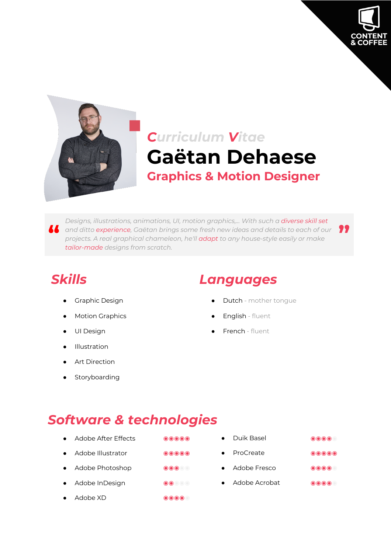



# *Curriculum Vitae* **Gaëtan Dehaese Graphics & Motion Designer**

**1** and ditto experience, Gaëtan brings some fresh new ideas and details to each of our **19**<br>projects. A real graphical chameleon, he'll **adapt** to any house-style easily or make *Designs, illustrations, animations, UI, motion graphics,... With such a diverse skill set projects. A real graphical chameleon, he'll adapt to any house-style easily or make tailor-made designs from scratch.*

- 
- 
- 
- **Illustration**
- **Art Direction**
- Storyboarding

### *Skills Languages*

- Graphic Design **by Cameran Accord Contract Contract Oriental** Dutch mother tongue
	- Motion Graphics **and School Community Community** English fluent
- UI Design extending the state of the Second Prench fluent

### *Software & technologies*

- 
- 
- 
- 
- Adobe XD ◉◉◉◉◉
- Adobe After Effects ◉◉◉◉◉ Duik Basel ◉◉◉◉◉ ● Adobe Illustrator ◉◉◉◉◉ ● ProCreate ◉◉◉◉◉ ● Adobe Photoshop ◉◉◉◉◉ ● Adobe Fresco ◉◉◉◉◉ ● Adobe InDesign ◉◉◉◉◉ ● Adobe Acrobat ◉◉◉◉◉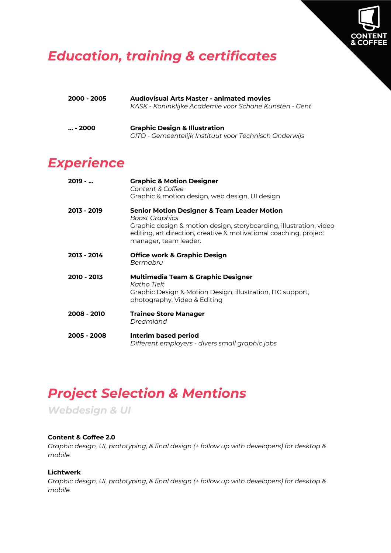

### *Education, training & certificates*

| 2000 - 2005 | <b>Audiovisual Arts Master - animated movies</b><br>KASK - Koninklijke Academie voor Schone Kunsten - Gent |
|-------------|------------------------------------------------------------------------------------------------------------|
| $ - 2000$   | <b>Graphic Design &amp; Illustration</b>                                                                   |

*GITO - Gemeentelijk Instituut voor Technisch Onderwijs*

### *Experience*

| $2019 - $   | <b>Graphic &amp; Motion Designer</b><br>Content & Coffee<br>Graphic & motion design, web design, UI design                                                                                                                                   |
|-------------|----------------------------------------------------------------------------------------------------------------------------------------------------------------------------------------------------------------------------------------------|
| 2013 - 2019 | <b>Senior Motion Designer &amp; Team Leader Motion</b><br>Boost Graphics<br>Graphic design & motion design, storyboarding, illustration, video<br>editing, art direction, creative & motivational coaching, project<br>manager, team leader. |
| 2013 - 2014 | <b>Office work &amp; Graphic Design</b><br>Bermabru                                                                                                                                                                                          |
| 2010 - 2013 | <b>Multimedia Team &amp; Graphic Designer</b><br>Katho Tielt<br>Graphic Design & Motion Design, illustration, ITC support,<br>photography, Video & Editing                                                                                   |
| 2008 - 2010 | <b>Trainee Store Manager</b><br>Dreamland                                                                                                                                                                                                    |
| 2005 - 2008 | Interim based period<br>Different employers - divers small graphic jobs                                                                                                                                                                      |

## *Project Selection & Mentions*

*Webdesign & UI*

#### **Content & Coffee 2.0**

*Graphic design, UI, prototyping, & final design (+ follow up with developers) for desktop & mobile.*

#### **Lichtwerk**

*Graphic design, UI, prototyping, & final design (+ follow up with developers) for desktop & mobile.*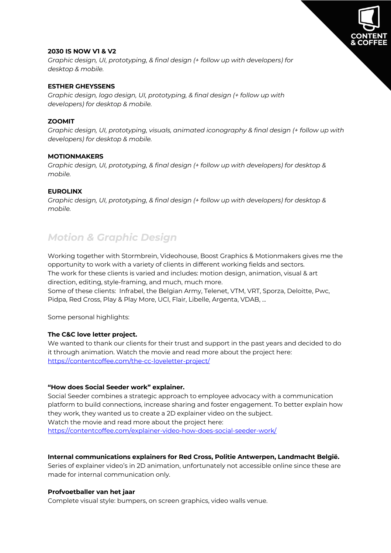

#### **2030 IS NOW V1 & V2**

*Graphic design, UI, prototyping, & final design (+ follow up with developers) for desktop & mobile.*

#### **ESTHER GHEYSSENS**

*Graphic design, logo design, UI, prototyping, & final design (+ follow up with developers) for desktop & mobile.*

#### **ZOOMIT**

*Graphic design, UI, prototyping, visuals, animated iconography & final design (+ follow up with developers) for desktop & mobile.*

#### **MOTIONMAKERS**

*Graphic design, UI, prototyping, & final design (+ follow up with developers) for desktop & mobile.*

#### **EUROLINX**

*Graphic design, UI, prototyping, & final design (+ follow up with developers) for desktop & mobile.*

### *Motion & Graphic Design*

Working together with Stormbrein, Videohouse, Boost Graphics & Motionmakers gives me the opportunity to work with a variety of clients in different working fields and sectors. The work for these clients is varied and includes: motion design, animation, visual & art direction, editing, style-framing, and much, much more.

Some of these clients: Infrabel, the Belgian Army, Telenet, VTM, VRT, Sporza, Deloitte, Pwc, Pidpa, Red Cross, Play & Play More, UCI, Flair, Libelle, Argenta, VDAB, ...

Some personal highlights:

#### **The C&C love letter project.**

We wanted to thank our clients for their trust and support in the past years and decided to do it through animation. Watch the movie and read more about the project here: https://contentcoffee.com/the-cc-loveletter-project/

#### **"How does Social Seeder work" explainer.**

Social Seeder combines a strategic approach to employee advocacy with a communication platform to build connections, increase sharing and foster engagement. To better explain how they work, they wanted us to create a 2D explainer video on the subject. Watch the movie and read more about the project here:

https://contentcoffee.com/explainer-video-how-does-social-seeder-work/

#### **Internal communications explainers for Red Cross, Politie Antwerpen, Landmacht België.**

Series of explainer video's in 2D animation, unfortunately not accessible online since these are made for internal communication only.

#### **Profvoetballer van het jaar**

Complete visual style: bumpers, on screen graphics, video walls venue.